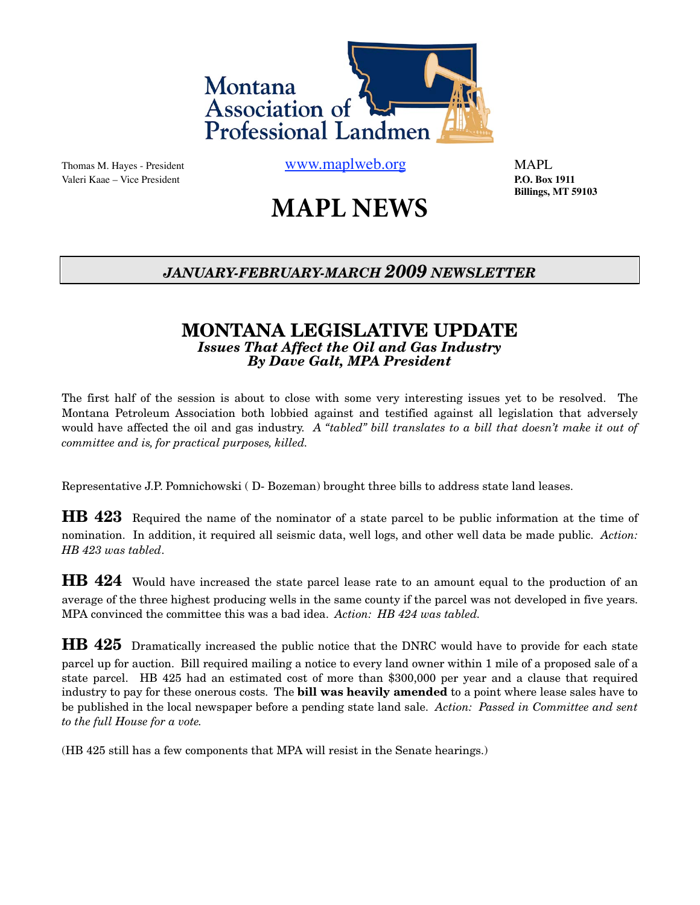

Valeri Kaae – Vice President **P.O. Box 1911**

Thomas M. Hayes - President [www.maplweb.org](http://www.maplweb.org) MAPL

 **Billings, MT 59103**

# **MAPL NEWS**

## *JANUARY-FEBRUARY-MARCH 2009 NEWSLETTER*

#### **MONTANA LEGISLATIVE UPDATE** *Issues That Affect the Oil and Gas Industry By Dave Galt, MPA President*

The first half of the session is about to close with some very interesting issues yet to be resolved. The Montana Petroleum Association both lobbied against and testified against all legislation that adversely would have affected the oil and gas industry. *A "tabled" bill translates to a bill that doesn't make it out of committee and is, for practical purposes, killed.*

Representative J.P. Pomnichowski ( D- Bozeman) brought three bills to address state land leases.

**HB 423** Required the name of the nominator of a state parcel to be public information at the time of nomination. In addition, it required all seismic data, well logs, and other well data be made public. *Action: HB 423 was tabled*.

**HB 424** Would have increased the state parcel lease rate to an amount equal to the production of an average of the three highest producing wells in the same county if the parcel was not developed in five years. MPA convinced the committee this was a bad idea. *Action: HB 424 was tabled.*

**HB 425** Dramatically increased the public notice that the DNRC would have to provide for each state parcel up for auction. Bill required mailing a notice to every land owner within 1 mile of a proposed sale of a state parcel. HB 425 had an estimated cost of more than \$300,000 per year and a clause that required industry to pay for these onerous costs. The **bill was heavily amended** to a point where lease sales have to be published in the local newspaper before a pending state land sale. *Action: Passed in Committee and sent to the full House for a vote.*

(HB 425 still has a few components that MPA will resist in the Senate hearings.)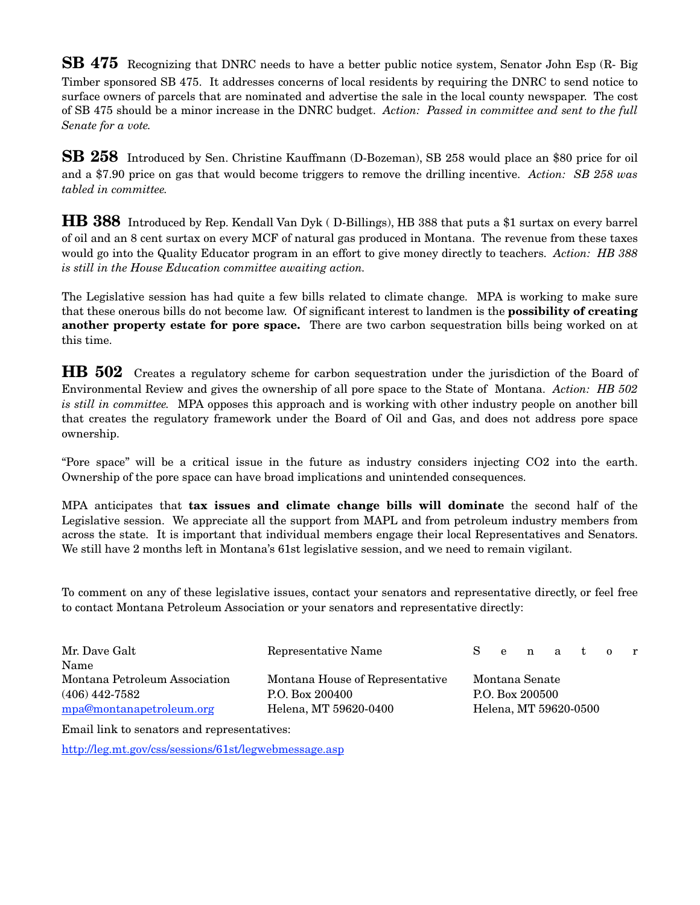**SB 475** Recognizing that DNRC needs to have a better public notice system, Senator John Esp (R- Big Timber sponsored SB 475. It addresses concerns of local residents by requiring the DNRC to send notice to surface owners of parcels that are nominated and advertise the sale in the local county newspaper. The cost of SB 475 should be a minor increase in the DNRC budget. *Action: Passed in committee and sent to the full Senate for a vote.* 

**SB 258** Introduced by Sen. Christine Kauffmann (D-Bozeman), SB 258 would place an \$80 price for oil and a \$7.90 price on gas that would become triggers to remove the drilling incentive. *Action: SB 258 was tabled in committee.*

**HB 388** Introduced by Rep. Kendall Van Dyk ( D-Billings), HB 388 that puts a \$1 surtax on every barrel of oil and an 8 cent surtax on every MCF of natural gas produced in Montana. The revenue from these taxes would go into the Quality Educator program in an effort to give money directly to teachers. *Action: HB 388 is still in the House Education committee awaiting action.*

The Legislative session has had quite a few bills related to climate change. MPA is working to make sure that these onerous bills do not become law. Of significant interest to landmen is the **possibility of creating another property estate for pore space.** There are two carbon sequestration bills being worked on at this time.

**HB 502** Creates a regulatory scheme for carbon sequestration under the jurisdiction of the Board of Environmental Review and gives the ownership of all pore space to the State of Montana. *Action: HB 502 is still in committee.* MPA opposes this approach and is working with other industry people on another bill that creates the regulatory framework under the Board of Oil and Gas, and does not address pore space ownership.

"Pore space" will be a critical issue in the future as industry considers injecting CO2 into the earth. Ownership of the pore space can have broad implications and unintended consequences.

MPA anticipates that **tax issues and climate change bills will dominate** the second half of the Legislative session. We appreciate all the support from MAPL and from petroleum industry members from across the state. It is important that individual members engage their local Representatives and Senators. We still have 2 months left in Montana's 61st legislative session, and we need to remain vigilant.

To comment on any of these legislative issues, contact your senators and representative directly, or feel free to contact Montana Petroleum Association or your senators and representative directly:

| Mr. Dave Galt                 | Representative Name             | $S^+$           |  |  |  | en at or              |  |  |
|-------------------------------|---------------------------------|-----------------|--|--|--|-----------------------|--|--|
| Name                          |                                 |                 |  |  |  |                       |  |  |
| Montana Petroleum Association | Montana House of Representative | Montana Senate  |  |  |  |                       |  |  |
| $(406)$ 442-7582              | P.O. Box 200400                 | P.O. Box 200500 |  |  |  |                       |  |  |
| mpa@montanapetroleum.org      | Helena, MT 59620-0400           |                 |  |  |  | Helena, MT 59620-0500 |  |  |

Email link to senators and representatives:

<http://leg.mt.gov/css/sessions/61st/legwebmessage.asp>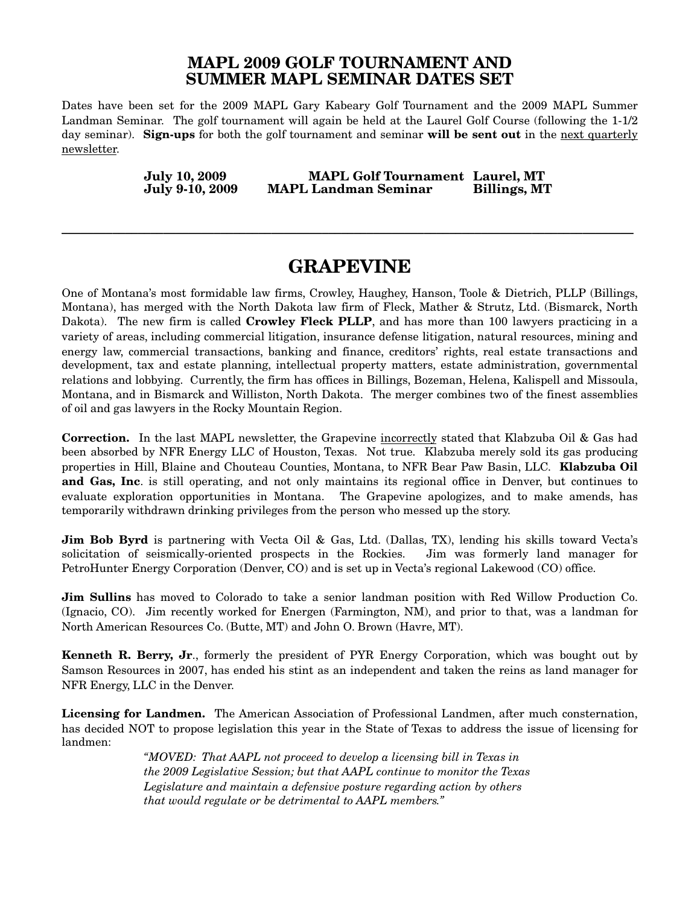#### **MAPL 2009 GOLF TOURNAMENT AND SUMMER MAPL SEMINAR DATES SET**

Dates have been set for the 2009 MAPL Gary Kabeary Golf Tournament and the 2009 MAPL Summer Landman Seminar. The golf tournament will again be held at the Laurel Golf Course (following the 1-1/2 day seminar). **Sign-ups** for both the golf tournament and seminar **will be sent out** in the next quarterly newsletter.

> **July 10, 2009 MAPL Golf Tournament Laurel, MT MAPL Landman Seminar**

**\_\_\_\_\_\_\_\_\_\_\_\_\_\_\_\_\_\_\_\_\_\_\_\_\_\_\_\_\_\_\_\_\_\_\_\_\_\_\_\_\_\_\_\_\_\_\_\_\_\_\_\_\_\_\_\_\_\_\_\_\_\_\_\_\_\_\_\_\_\_\_\_\_\_\_\_\_\_\_\_\_\_\_\_\_\_\_\_\_\_**

# **GRAPEVINE**

One of Montana's most formidable law firms, Crowley, Haughey, Hanson, Toole & Dietrich, PLLP (Billings, Montana), has merged with the North Dakota law firm of Fleck, Mather & Strutz, Ltd. (Bismarck, North Dakota). The new firm is called **Crowley Fleck PLLP**, and has more than 100 lawyers practicing in a variety of areas, including commercial litigation, insurance defense litigation, natural resources, mining and energy law, commercial transactions, banking and finance, creditors' rights, real estate transactions and development, tax and estate planning, intellectual property matters, estate administration, governmental relations and lobbying. Currently, the firm has offices in Billings, Bozeman, Helena, Kalispell and Missoula, Montana, and in Bismarck and Williston, North Dakota. The merger combines two of the finest assemblies of oil and gas lawyers in the Rocky Mountain Region.

**Correction.** In the last MAPL newsletter, the Grapevine incorrectly stated that Klabzuba Oil & Gas had been absorbed by NFR Energy LLC of Houston, Texas. Not true. Klabzuba merely sold its gas producing properties in Hill, Blaine and Chouteau Counties, Montana, to NFR Bear Paw Basin, LLC. **Klabzuba Oil and Gas, Inc**. is still operating, and not only maintains its regional office in Denver, but continues to evaluate exploration opportunities in Montana. The Grapevine apologizes, and to make amends, has temporarily withdrawn drinking privileges from the person who messed up the story.

**Jim Bob Byrd** is partnering with Vecta Oil & Gas, Ltd. (Dallas, TX), lending his skills toward Vecta's solicitation of seismically-oriented prospects in the Rockies. Jim was formerly land manager for PetroHunter Energy Corporation (Denver, CO) and is set up in Vecta's regional Lakewood (CO) office.

**Jim Sullins** has moved to Colorado to take a senior landman position with Red Willow Production Co. (Ignacio, CO). Jim recently worked for Energen (Farmington, NM), and prior to that, was a landman for North American Resources Co. (Butte, MT) and John O. Brown (Havre, MT).

**Kenneth R. Berry, Jr**., formerly the president of PYR Energy Corporation, which was bought out by Samson Resources in 2007, has ended his stint as an independent and taken the reins as land manager for NFR Energy, LLC in the Denver.

**Licensing for Landmen.** The American Association of Professional Landmen, after much consternation, has decided NOT to propose legislation this year in the State of Texas to address the issue of licensing for landmen:

> *"MOVED: That AAPL not proceed to develop a licensing bill in Texas in the 2009 Legislative Session; but that AAPL continue to monitor the Texas Legislature and maintain a defensive posture regarding action by others that would regulate or be detrimental to AAPL members."*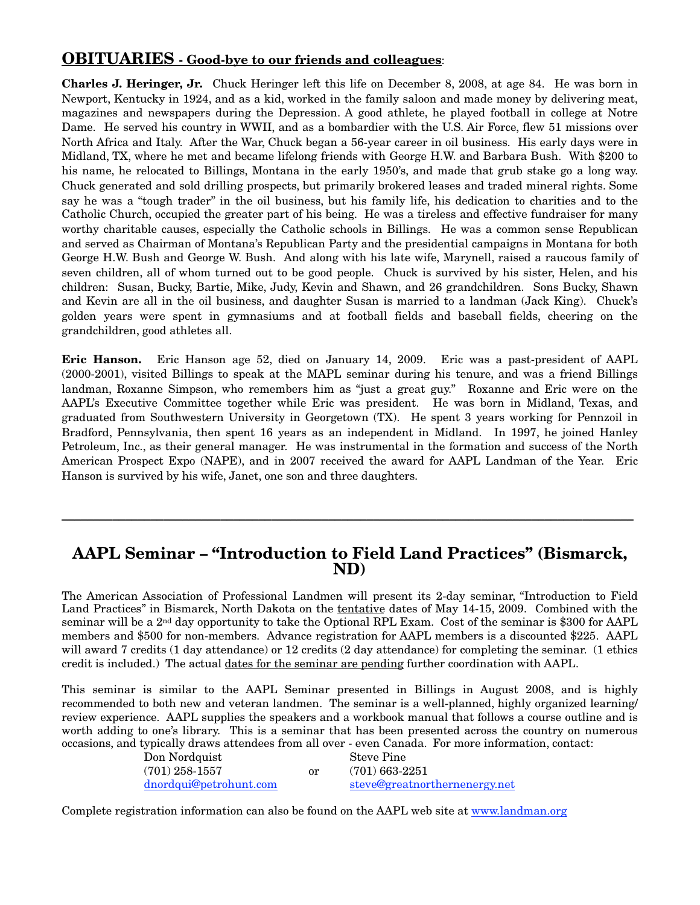#### **OBITUARIES - Good-bye to our friends and colleagues**:

**Charles J. Heringer, Jr.** Chuck Heringer left this life on December 8, 2008, at age 84. He was born in Newport, Kentucky in 1924, and as a kid, worked in the family saloon and made money by delivering meat, magazines and newspapers during the Depression. A good athlete, he played football in college at Notre Dame. He served his country in WWII, and as a bombardier with the U.S. Air Force, flew 51 missions over North Africa and Italy. After the War, Chuck began a 56-year career in oil business. His early days were in Midland, TX, where he met and became lifelong friends with George H.W. and Barbara Bush. With \$200 to his name, he relocated to Billings, Montana in the early 1950's, and made that grub stake go a long way. Chuck generated and sold drilling prospects, but primarily brokered leases and traded mineral rights. Some say he was a "tough trader" in the oil business, but his family life, his dedication to charities and to the Catholic Church, occupied the greater part of his being. He was a tireless and effective fundraiser for many worthy charitable causes, especially the Catholic schools in Billings. He was a common sense Republican and served as Chairman of Montana's Republican Party and the presidential campaigns in Montana for both George H.W. Bush and George W. Bush. And along with his late wife, Marynell, raised a raucous family of seven children, all of whom turned out to be good people. Chuck is survived by his sister, Helen, and his children: Susan, Bucky, Bartie, Mike, Judy, Kevin and Shawn, and 26 grandchildren. Sons Bucky, Shawn and Kevin are all in the oil business, and daughter Susan is married to a landman (Jack King). Chuck's golden years were spent in gymnasiums and at football fields and baseball fields, cheering on the grandchildren, good athletes all.

**Eric Hanson.** Eric Hanson age 52, died on January 14, 2009. Eric was a past-president of AAPL (2000-2001), visited Billings to speak at the MAPL seminar during his tenure, and was a friend Billings landman, Roxanne Simpson, who remembers him as "just a great guy." Roxanne and Eric were on the AAPL's Executive Committee together while Eric was president. He was born in Midland, Texas, and graduated from Southwestern University in Georgetown (TX). He spent 3 years working for Pennzoil in Bradford, Pennsylvania, then spent 16 years as an independent in Midland. In 1997, he joined Hanley Petroleum, Inc., as their general manager. He was instrumental in the formation and success of the North American Prospect Expo (NAPE), and in 2007 received the award for AAPL Landman of the Year. Eric Hanson is survived by his wife, Janet, one son and three daughters.

#### **AAPL Seminar – "Introduction to Field Land Practices" (Bismarck, ND)**

**\_\_\_\_\_\_\_\_\_\_\_\_\_\_\_\_\_\_\_\_\_\_\_\_\_\_\_\_\_\_\_\_\_\_\_\_\_\_\_\_\_\_\_\_\_\_\_\_\_\_\_\_\_\_\_\_\_\_\_\_\_\_\_\_\_\_\_\_\_\_\_\_\_\_\_\_\_\_\_\_\_\_\_\_\_\_\_\_\_\_**

The American Association of Professional Landmen will present its 2-day seminar, "Introduction to Field Land Practices" in Bismarck, North Dakota on the tentative dates of May 14-15, 2009. Combined with the seminar will be a 2nd day opportunity to take the Optional RPL Exam. Cost of the seminar is \$300 for AAPL members and \$500 for non-members. Advance registration for AAPL members is a discounted \$225. AAPL will award 7 credits (1 day attendance) or 12 credits (2 day attendance) for completing the seminar. (1 ethics credit is included.) The actual dates for the seminar are pending further coordination with AAPL.

This seminar is similar to the AAPL Seminar presented in Billings in August 2008, and is highly recommended to both new and veteran landmen. The seminar is a well-planned, highly organized learning/ review experience. AAPL supplies the speakers and a workbook manual that follows a course outline and is worth adding to one's library. This is a seminar that has been presented across the country on numerous occasions, and typically draws attendees from all over - even Canada. For more information, contact:

| Don Nordquist          |    | Steve Pine                    |
|------------------------|----|-------------------------------|
| $(701)$ 258-1557       | or | $(701)$ 663-2251              |
| dnordqui@petrohunt.com |    | steve@greatnorthernenergy.net |

Complete registration information can also be found on the AAPL web site at [www.landman.org](http://www.landman.org)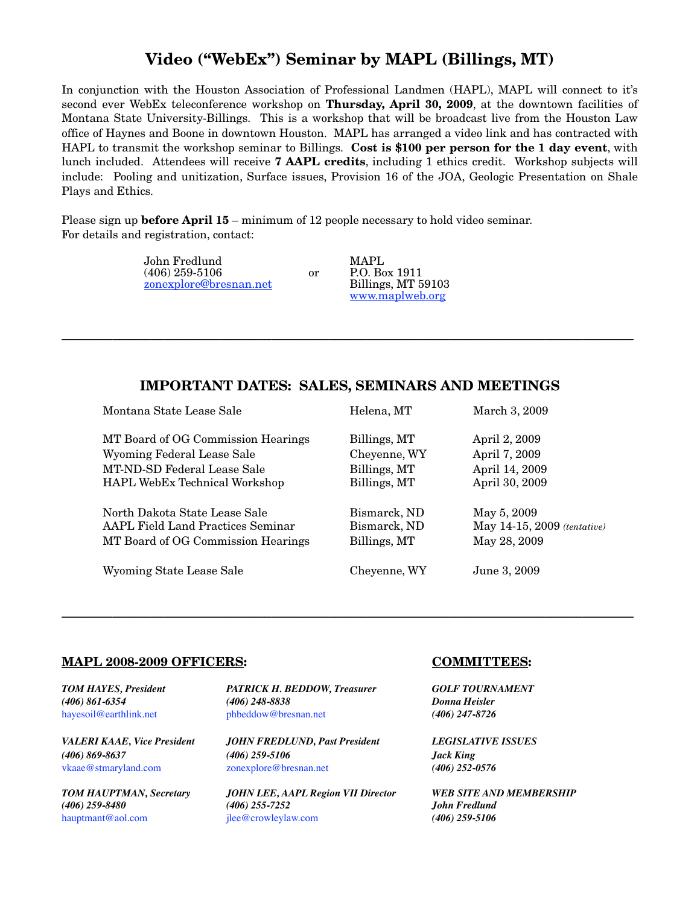### **Video ("WebEx") Seminar by MAPL (Billings, MT)**

In conjunction with the Houston Association of Professional Landmen (HAPL), MAPL will connect to it's second ever WebEx teleconference workshop on **Thursday, April 30, 2009**, at the downtown facilities of Montana State University-Billings. This is a workshop that will be broadcast live from the Houston Law office of Haynes and Boone in downtown Houston. MAPL has arranged a video link and has contracted with HAPL to transmit the workshop seminar to Billings. **Cost is \$100 per person for the 1 day event**, with lunch included. Attendees will receive **7 AAPL credits**, including 1 ethics credit. Workshop subjects will include: Pooling and unitization, Surface issues, Provision 16 of the JOA, Geologic Presentation on Shale Plays and Ethics.

Please sign up **before April 15** – minimum of 12 people necessary to hold video seminar. For details and registration, contact:

> John Fredlund MAPL<br>
> (406) 259-5106 or P.O. Bo [zonexplore@bresnan.net](mailto:zonexplore@bresnan.net)

or P.O. Box 1911<br>Billings, MT 59103 [www.maplweb.org](http://www.maplweb.org)

#### **IMPORTANT DATES: SALES, SEMINARS AND MEETINGS**

**\_\_\_\_\_\_\_\_\_\_\_\_\_\_\_\_\_\_\_\_\_\_\_\_\_\_\_\_\_\_\_\_\_\_\_\_\_\_\_\_\_\_\_\_\_\_\_\_\_\_\_\_\_\_\_\_\_\_\_\_\_\_\_\_\_\_\_\_\_\_\_\_\_\_\_\_\_\_\_\_\_\_\_\_\_\_\_\_\_\_**

| Montana State Lease Sale           | Helena, MT   | March 3, 2009               |
|------------------------------------|--------------|-----------------------------|
| MT Board of OG Commission Hearings | Billings, MT | April 2, 2009               |
| Wyoming Federal Lease Sale         | Cheyenne, WY | April 7, 2009               |
| MT-ND-SD Federal Lease Sale        | Billings, MT | April 14, 2009              |
| HAPL WebEx Technical Workshop      | Billings, MT | April 30, 2009              |
| North Dakota State Lease Sale      | Bismarck, ND | May 5, 2009                 |
| AAPL Field Land Practices Seminar  | Bismarck, ND | May 14-15, 2009 (tentative) |
| MT Board of OG Commission Hearings | Billings, MT | May 28, 2009                |
| Wyoming State Lease Sale           | Cheyenne, WY | June 3, 2009                |

**\_\_\_\_\_\_\_\_\_\_\_\_\_\_\_\_\_\_\_\_\_\_\_\_\_\_\_\_\_\_\_\_\_\_\_\_\_\_\_\_\_\_\_\_\_\_\_\_\_\_\_\_\_\_\_\_\_\_\_\_\_\_\_\_\_\_\_\_\_\_\_\_\_\_\_\_\_\_\_\_\_\_\_\_\_\_\_\_\_\_**

#### **MAPL 2008-2009 OFFICERS: COMMITTEES:**

*TOM HAYES, President PATRICK H. BEDDOW, Treasurer GOLF TOURNAMENT (406) 861-6354 (406) 248-8838 Donna Heisler* [hayesoil@earthlink.net](mailto:hayesoil@earthlink.net) [phbeddow@bresnan.net](mailto:phbeddow@bresnan.net) *(406) 247-8726* 

*VALERI KAAE, Vice President JOHN FREDLUND, Past President LEGISLATIVE ISSUES (406) 869-8637 (406) 259-5106 Jack King* [vkaae@stmaryland.com](mailto:vkaae@stmaryland.com)[zonexplore@bresnan.net](mailto:zonexplore@bresnan.net) *(406) 252-0576*

*TOM HAUPTMAN, Secretary JOHN LEE, AAPL Region VII Director WEB SITE AND MEMBERSHIP (406) 259-8480 (406) 255-7252 John Fredlund* [hauptmant@aol.com](mailto:hauptmant@aol.com)[jlee@crowleylaw.com](mailto:jlee@crowleylaw.com) *(406) 259-5106*